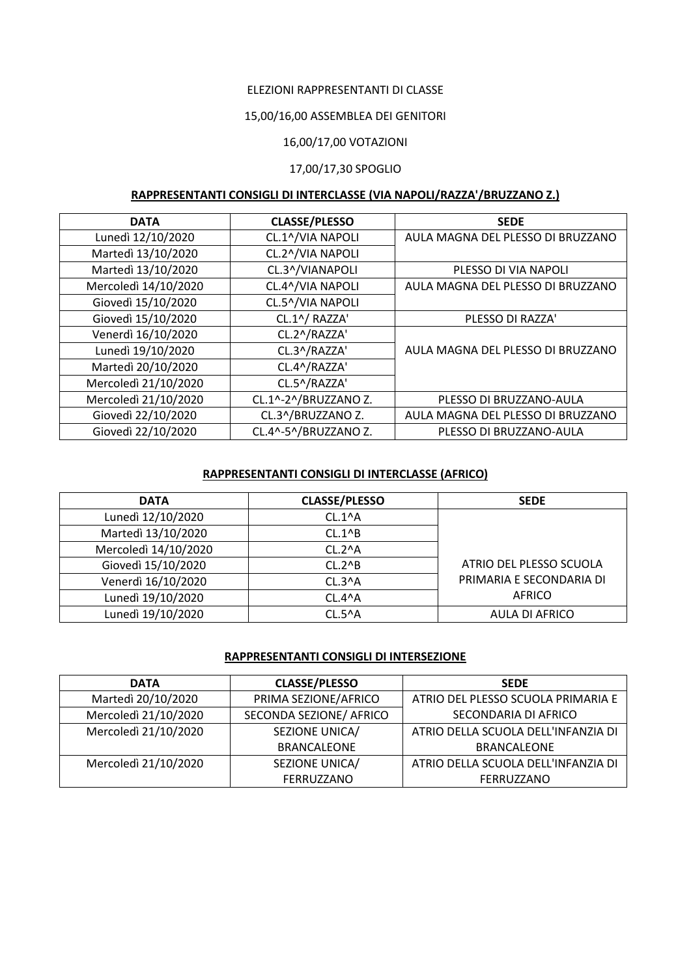## ELEZIONI RAPPRESENTANTI DI CLASSE

### 15,00/16,00 ASSEMBLEA DEI GENITORI

## 16,00/17,00 VOTAZIONI

#### 17,00/17,30 SPOGLIO

# **RAPPRESENTANTI CONSIGLI DI INTERCLASSE (VIA NAPOLI/RAZZA'/BRUZZANO Z.)**

| <b>DATA</b>          | <b>CLASSE/PLESSO</b> | <b>SEDE</b>                       |
|----------------------|----------------------|-----------------------------------|
| Lunedì 12/10/2020    | CL.1^/VIA NAPOLI     | AULA MAGNA DEL PLESSO DI BRUZZANO |
| Martedì 13/10/2020   | CL.2^/VIA NAPOLI     |                                   |
| Martedì 13/10/2020   | CL.3^/VIANAPOLI      | PLESSO DI VIA NAPOLI              |
| Mercoledì 14/10/2020 | CL.4^/VIA NAPOLI     | AULA MAGNA DEL PLESSO DI BRUZZANO |
| Giovedì 15/10/2020   | CL.5^/VIA NAPOLI     |                                   |
| Giovedì 15/10/2020   | CL.1^/ RAZZA'        | PLESSO DI RAZZA'                  |
| Venerdì 16/10/2020   | CL.2^/RAZZA'         |                                   |
| Lunedì 19/10/2020    | CL.3^/RAZZA'         | AULA MAGNA DEL PLESSO DI BRUZZANO |
| Martedì 20/10/2020   | CL.4^/RAZZA'         |                                   |
| Mercoledì 21/10/2020 | CL.5^/RAZZA'         |                                   |
| Mercoledì 21/10/2020 | CL.1^-2^/BRUZZANO Z. | PLESSO DI BRUZZANO-AULA           |
| Giovedì 22/10/2020   | CL.3^/BRUZZANO Z.    | AULA MAGNA DEL PLESSO DI BRUZZANO |
| Giovedì 22/10/2020   | CL.4^-5^/BRUZZANO Z. | PLESSO DI BRUZZANO-AULA           |

#### **RAPPRESENTANTI CONSIGLI DI INTERCLASSE (AFRICO)**

| <b>DATA</b>          | <b>CLASSE/PLESSO</b> | <b>SEDE</b>              |
|----------------------|----------------------|--------------------------|
| Lunedì 12/10/2020    | $CL.1^A$             |                          |
| Martedì 13/10/2020   | CL.1 <sub>6</sub>    |                          |
| Mercoledì 14/10/2020 | $CL.2^A$             |                          |
| Giovedì 15/10/2020   | CL.2 <sub>AB</sub>   | ATRIO DEL PLESSO SCUOLA  |
| Venerdì 16/10/2020   | CL.3 <sub>A</sub>    | PRIMARIA E SECONDARIA DI |
| Lunedì 19/10/2020    | CL.4 <sub>A</sub>    | AFRICO                   |
| Lunedì 19/10/2020    | $CL.5^{\wedge}A$     | AULA DI AFRICO           |

### **RAPPRESENTANTI CONSIGLI DI INTERSEZIONE**

| <b>DATA</b>          | <b>CLASSE/PLESSO</b>    | <b>SEDE</b>                         |
|----------------------|-------------------------|-------------------------------------|
| Martedì 20/10/2020   | PRIMA SEZIONE/AFRICO    | ATRIO DEL PLESSO SCUOLA PRIMARIA E  |
| Mercoledì 21/10/2020 | SECONDA SEZIONE/ AFRICO | SECONDARIA DI AFRICO                |
| Mercoledì 21/10/2020 | SEZIONE UNICA/          | ATRIO DELLA SCUOLA DELL'INFANZIA DI |
|                      | <b>BRANCALEONE</b>      | <b>BRANCALEONE</b>                  |
| Mercoledì 21/10/2020 | SEZIONE UNICA/          | ATRIO DELLA SCUOLA DELL'INFANZIA DI |
|                      | FERRUZZANO              | FERRUZZANO                          |